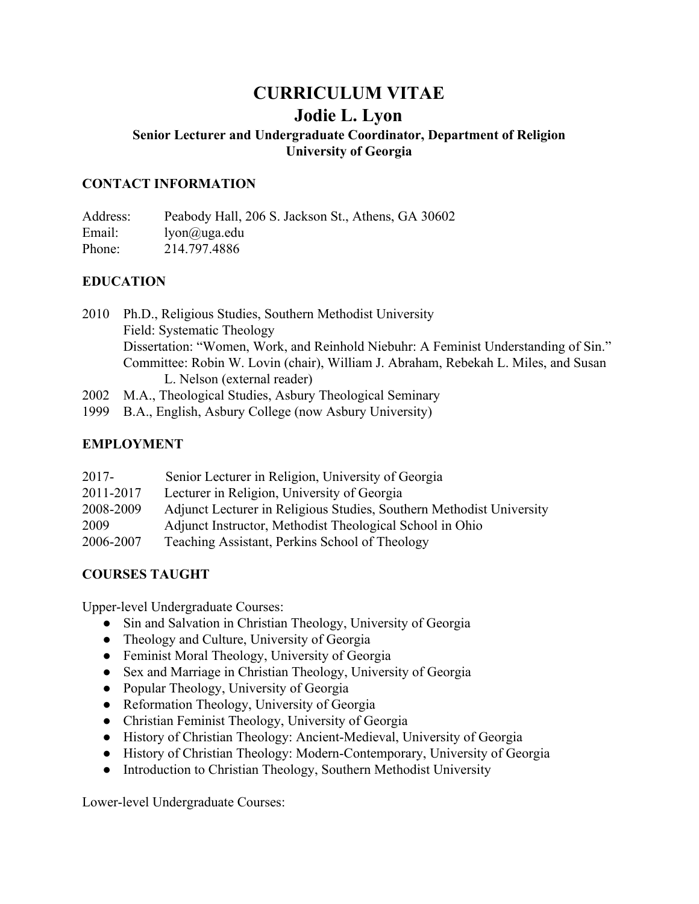# **CURRICULUM VITAE Jodie L. Lyon Senior Lecturer and Undergraduate Coordinator, Department of Religion University of Georgia**

#### **CONTACT INFORMATION**

Address: Peabody Hall, 206 S. Jackson St., Athens, GA 30602 Email: lyon@uga.edu Phone: 214.797.4886

#### **EDUCATION**

2010 Ph.D., Religious Studies, Southern Methodist University Field: Systematic Theology Dissertation: "Women, Work, and Reinhold Niebuhr: A Feminist Understanding of Sin." Committee: Robin W. Lovin (chair), William J. Abraham, Rebekah L. Miles, and Susan L. Nelson (external reader)

2002 M.A., Theological Studies, Asbury Theological Seminary

1999 B.A., English, Asbury College (now Asbury University)

#### **EMPLOYMENT**

| $2017 -$  | Senior Lecturer in Religion, University of Georgia                   |
|-----------|----------------------------------------------------------------------|
| 2011-2017 | Lecturer in Religion, University of Georgia                          |
| 2008-2009 | Adjunct Lecturer in Religious Studies, Southern Methodist University |
| 2009      | Adjunct Instructor, Methodist Theological School in Ohio             |
| 2006-2007 | Teaching Assistant, Perkins School of Theology                       |

#### **COURSES TAUGHT**

Upper-level Undergraduate Courses:

- Sin and Salvation in Christian Theology, University of Georgia
- Theology and Culture, University of Georgia
- Feminist Moral Theology, University of Georgia
- Sex and Marriage in Christian Theology, University of Georgia
- Popular Theology, University of Georgia
- Reformation Theology, University of Georgia
- Christian Feminist Theology, University of Georgia
- History of Christian Theology: Ancient-Medieval, University of Georgia
- History of Christian Theology: Modern-Contemporary, University of Georgia
- Introduction to Christian Theology, Southern Methodist University

Lower-level Undergraduate Courses: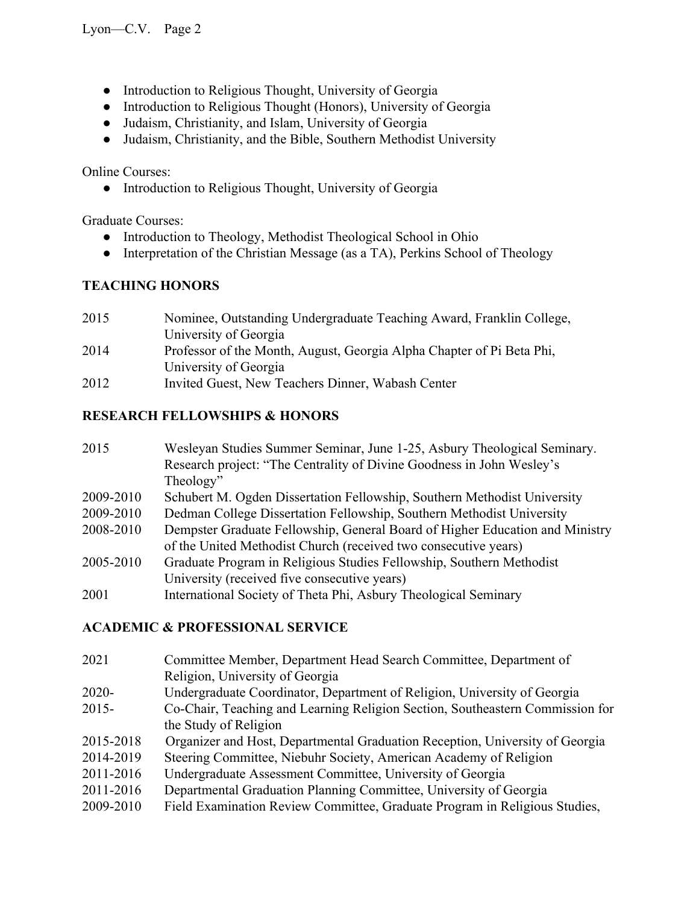- Introduction to Religious Thought, University of Georgia
- Introduction to Religious Thought (Honors), University of Georgia
- Judaism, Christianity, and Islam, University of Georgia
- Judaism, Christianity, and the Bible, Southern Methodist University

Online Courses:

● Introduction to Religious Thought, University of Georgia

Graduate Courses:

- Introduction to Theology, Methodist Theological School in Ohio
- Interpretation of the Christian Message (as a TA), Perkins School of Theology

## **TEACHING HONORS**

2015 Nominee, Outstanding Undergraduate Teaching Award, Franklin College, University of Georgia 2014 Professor of the Month, August, Georgia Alpha Chapter of Pi Beta Phi, University of Georgia 2012 Invited Guest, New Teachers Dinner, Wabash Center

### **RESEARCH FELLOWSHIPS & HONORS**

| 2015      | Wesleyan Studies Summer Seminar, June 1-25, Asbury Theological Seminary.     |
|-----------|------------------------------------------------------------------------------|
|           | Research project: "The Centrality of Divine Goodness in John Wesley's        |
|           | Theology"                                                                    |
| 2009-2010 | Schubert M. Ogden Dissertation Fellowship, Southern Methodist University     |
| 2009-2010 | Dedman College Dissertation Fellowship, Southern Methodist University        |
| 2008-2010 | Dempster Graduate Fellowship, General Board of Higher Education and Ministry |
|           | of the United Methodist Church (received two consecutive years)              |
| 2005-2010 | Graduate Program in Religious Studies Fellowship, Southern Methodist         |
|           | University (received five consecutive years)                                 |
| 2001      | International Society of Theta Phi, Asbury Theological Seminary              |

#### **ACADEMIC & PROFESSIONAL SERVICE**

| 2021      | Committee Member, Department Head Search Committee, Department of             |
|-----------|-------------------------------------------------------------------------------|
|           | Religion, University of Georgia                                               |
| 2020-     | Undergraduate Coordinator, Department of Religion, University of Georgia      |
| 2015-     | Co-Chair, Teaching and Learning Religion Section, Southeastern Commission for |
|           | the Study of Religion                                                         |
| 2015-2018 | Organizer and Host, Departmental Graduation Reception, University of Georgia  |
| 2014-2019 | Steering Committee, Niebuhr Society, American Academy of Religion             |
| 2011-2016 | Undergraduate Assessment Committee, University of Georgia                     |
| 2011-2016 | Departmental Graduation Planning Committee, University of Georgia             |
| 2009-2010 | Field Examination Review Committee, Graduate Program in Religious Studies,    |
|           |                                                                               |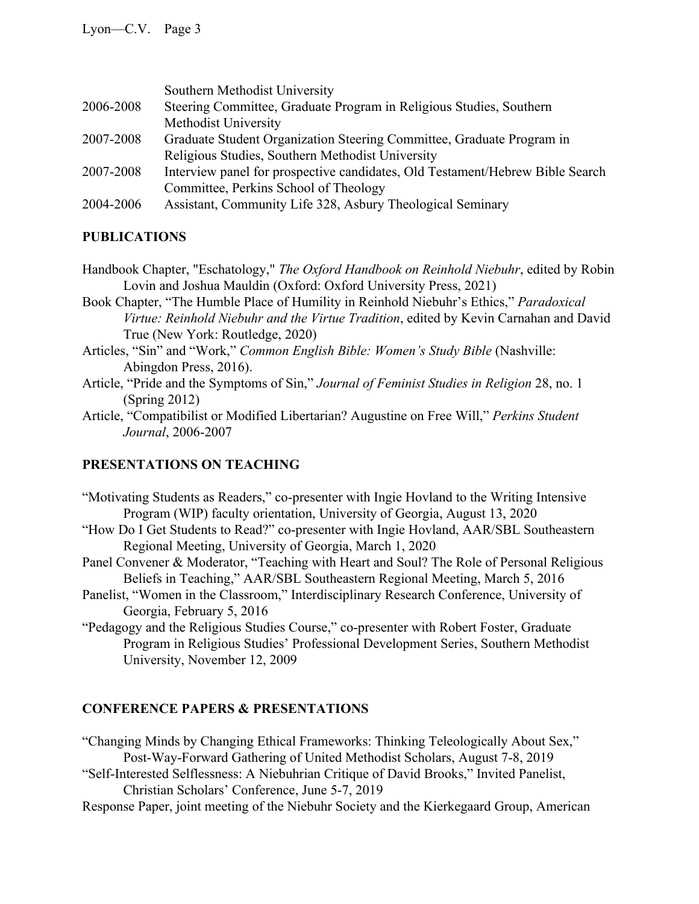|           | Southern Methodist University                                                 |
|-----------|-------------------------------------------------------------------------------|
| 2006-2008 | Steering Committee, Graduate Program in Religious Studies, Southern           |
|           | Methodist University                                                          |
| 2007-2008 | Graduate Student Organization Steering Committee, Graduate Program in         |
|           | Religious Studies, Southern Methodist University                              |
| 2007-2008 | Interview panel for prospective candidates, Old Testament/Hebrew Bible Search |
|           | Committee, Perkins School of Theology                                         |
| 2004-2006 | Assistant, Community Life 328, Asbury Theological Seminary                    |

## **PUBLICATIONS**

- Handbook Chapter, "Eschatology," *The Oxford Handbook on Reinhold Niebuhr*, edited by Robin Lovin and Joshua Mauldin (Oxford: Oxford University Press, 2021)
- Book Chapter, "The Humble Place of Humility in Reinhold Niebuhr's Ethics," *Paradoxical Virtue: Reinhold Niebuhr and the Virtue Tradition*, edited by Kevin Carnahan and David True (New York: Routledge, 2020)
- Articles, "Sin" and "Work," *Common English Bible: Women's Study Bible* (Nashville: Abingdon Press, 2016).
- Article, "Pride and the Symptoms of Sin," *Journal of Feminist Studies in Religion* 28, no. 1 (Spring 2012)
- Article, "Compatibilist or Modified Libertarian? Augustine on Free Will," *Perkins Student Journal*, 2006-2007

## **PRESENTATIONS ON TEACHING**

- "Motivating Students as Readers," co-presenter with Ingie Hovland to the Writing Intensive Program (WIP) faculty orientation, University of Georgia, August 13, 2020
- "How Do I Get Students to Read?" co-presenter with Ingie Hovland, AAR/SBL Southeastern Regional Meeting, University of Georgia, March 1, 2020
- Panel Convener & Moderator, "Teaching with Heart and Soul? The Role of Personal Religious Beliefs in Teaching," AAR/SBL Southeastern Regional Meeting, March 5, 2016
- Panelist, "Women in the Classroom," Interdisciplinary Research Conference, University of Georgia, February 5, 2016
- "Pedagogy and the Religious Studies Course," co-presenter with Robert Foster, Graduate Program in Religious Studies' Professional Development Series, Southern Methodist University, November 12, 2009

## **CONFERENCE PAPERS & PRESENTATIONS**

- "Changing Minds by Changing Ethical Frameworks: Thinking Teleologically About Sex," Post-Way-Forward Gathering of United Methodist Scholars, August 7-8, 2019
- "Self-Interested Selflessness: A Niebuhrian Critique of David Brooks," Invited Panelist, Christian Scholars' Conference, June 5-7, 2019
- Response Paper, joint meeting of the Niebuhr Society and the Kierkegaard Group, American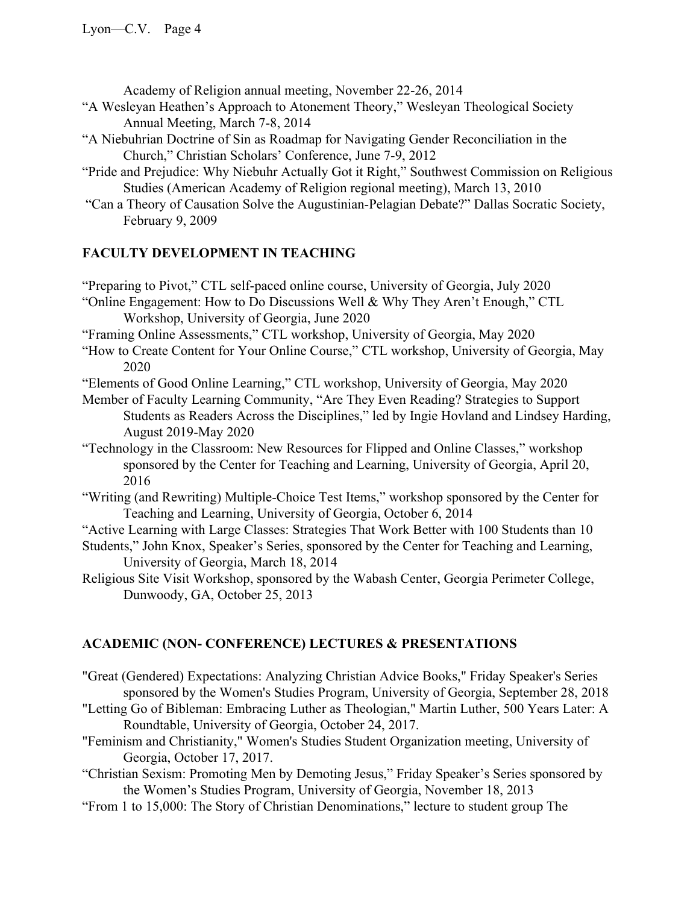Academy of Religion annual meeting, November 22-26, 2014

- "A Wesleyan Heathen's Approach to Atonement Theory," Wesleyan Theological Society Annual Meeting, March 7-8, 2014
- "A Niebuhrian Doctrine of Sin as Roadmap for Navigating Gender Reconciliation in the Church," Christian Scholars' Conference, June 7-9, 2012
- "Pride and Prejudice: Why Niebuhr Actually Got it Right," Southwest Commission on Religious Studies (American Academy of Religion regional meeting), March 13, 2010
- "Can a Theory of Causation Solve the Augustinian-Pelagian Debate?" Dallas Socratic Society, February 9, 2009

### **FACULTY DEVELOPMENT IN TEACHING**

"Preparing to Pivot," CTL self-paced online course, University of Georgia, July 2020

- "Online Engagement: How to Do Discussions Well & Why They Aren't Enough," CTL Workshop, University of Georgia, June 2020
- "Framing Online Assessments," CTL workshop, University of Georgia, May 2020
- "How to Create Content for Your Online Course," CTL workshop, University of Georgia, May 2020
- "Elements of Good Online Learning," CTL workshop, University of Georgia, May 2020
- Member of Faculty Learning Community, "Are They Even Reading? Strategies to Support Students as Readers Across the Disciplines," led by Ingie Hovland and Lindsey Harding, August 2019-May 2020
- "Technology in the Classroom: New Resources for Flipped and Online Classes," workshop sponsored by the Center for Teaching and Learning, University of Georgia, April 20, 2016
- "Writing (and Rewriting) Multiple-Choice Test Items," workshop sponsored by the Center for Teaching and Learning, University of Georgia, October 6, 2014
- "Active Learning with Large Classes: Strategies That Work Better with 100 Students than 10
- Students," John Knox, Speaker's Series, sponsored by the Center for Teaching and Learning, University of Georgia, March 18, 2014
- Religious Site Visit Workshop, sponsored by the Wabash Center, Georgia Perimeter College, Dunwoody, GA, October 25, 2013

## **ACADEMIC (NON- CONFERENCE) LECTURES & PRESENTATIONS**

- "Great (Gendered) Expectations: Analyzing Christian Advice Books," Friday Speaker's Series sponsored by the Women's Studies Program, University of Georgia, September 28, 2018
- "Letting Go of Bibleman: Embracing Luther as Theologian," Martin Luther, 500 Years Later: A Roundtable, University of Georgia, October 24, 2017.
- "Feminism and Christianity," Women's Studies Student Organization meeting, University of Georgia, October 17, 2017.
- "Christian Sexism: Promoting Men by Demoting Jesus," Friday Speaker's Series sponsored by the Women's Studies Program, University of Georgia, November 18, 2013
- "From 1 to 15,000: The Story of Christian Denominations," lecture to student group The